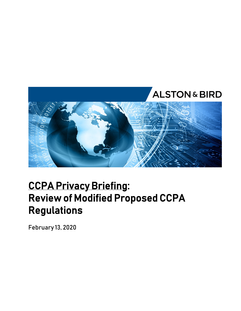

## **CCPA Privacy Briefing: Review of Modified Proposed CCPA Regulations**

February 13, 2020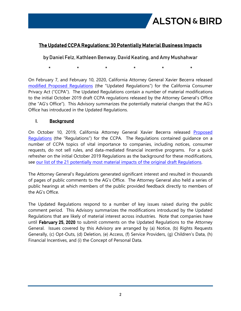

### **The Updated CCPA Regulations: 30 Potentially Material Business Impacts**

by Daniel Felz, Kathleen Benway, David Keating, and Amy Mushahwar

\* \* \* \* \* \*

On February 7, and February 10, 2020, California Attorney General Xavier Becerra released [modified Proposed Regulations](https://www.oag.ca.gov/sites/all/files/agweb/pdfs/privacy/ccpa-text-of-mod-clean-020720.pdf?) (the "Updated Regulations") for the California Consumer Privacy Act ("CCPA"). The Updated Regulations contain a number of material modifications to the initial October 2019 draft CCPA regulations released by the Attorney General's Office (the "AG's Office"). This Advisory summarizes the potentially material changes that the AG's Office has introduced in the Updated Regulations.

#### **I. Background**

On October 10, 2019, California Attorney General Xavier Becerra released Proposed [Regulations](https://www.oag.ca.gov/sites/all/files/agweb/pdfs/privacy/ccpa-proposed-regs.pdf) (the "Regulations") for the CCPA. The Regulations contained guidance on a number of CCPA topics of vital importance to companies, including notices, consumer requests, do not sell rules, and data-mediated financial incentive programs. For a quick refresher on the initial October 2019 Regulations as the background for these modifications, see [our list of the 21 potentially most material impacts of the original draft Regulations.](https://www.alston.com/en/insights/publications/2019/10/the-draft-ccpa-regulations/)

The Attorney General's Regulations generated significant interest and resulted in thousands of pages of public comments to the AG's Office. The Attorney General also held a series of public hearings at which members of the public provided feedback directly to members of the AG's Office.

The Updated Regulations respond to a number of key issues raised during the public comment period. This Advisory summarizes the modifications introduced by the Updated Regulations that are likely of material interest across industries. Note that companies have until **February 25, 2020** to submit comments on the Updated Regulations to the Attorney General. Issues covered by this Advisory are arranged by (a) Notice, (b) Rights Requests Generally, (c) Opt-Outs, (d) Deletion, (e) Access, (f) Service Providers, (g) Children's Data, (h) Financial Incentives, and (i) the Concept of Personal Data.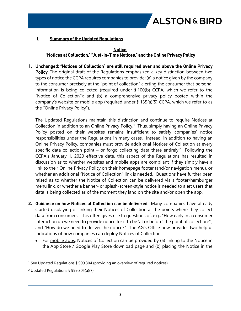

#### **II. Summary of the Updated Regulations**

#### **Notice: "Notices at Collection," "Just-in-Time Notices," and the Online Privacy Policy**

**1. Unchanged: "Notices of Collection" are still required over and above the Online Privacy Policy.** The original draft of the Regulations emphasized a key distinction between two types of notice the CCPA requires companies to provide: (a) a notice given by the company to the consumer precisely at the "point of collection" alerting the consumer that personal information is being collected (required under § 100(b) CCPA, which we refer to the "Notice of Collection"); and (b) a comprehensive privacy policy posted within the company's website or mobile app (required under § 135(a)(5) CCPA, which we refer to as the "Online Privacy Policy").

The Updated Regulations maintain this distinction and continue to require Notices at Collection in addition to an Online Privacy Policy.<sup>1</sup> Thus, simply having an Online Privacy Policy posted on their websites remains insufficient to satisfy companies' notice responsibilities under the Regulations in many cases. Instead, in addition to having an Online Privacy Policy, companies must provide additional Notices of Collection at every specific data collection point  $-$  or forgo collecting data there entirely.<sup>2</sup> Following the CCPA's January 1, 2020 effective date, this aspect of the Regulations has resulted in discussion as to whether websites and mobile apps are compliant if they simply have a link to their Online Privacy Policy on their homepage footer (and/or navigation menu), or whether an additional "Notice of Collection" link is needed. Questions have further been raised as to whether the Notice of Collection can be delivered via a footer/hamburger menu link, or whether a banner- or splash-screen-style notice is needed to alert users that data is being collected as of the moment they land on the site and/or open the app.

- **2. Guidance on how Notices at Collection can be delivered.** Many companies have already started displaying or linking their Notices of Collection at the points where they collect data from consumers. This often gives rise to questions of, e.g., "How early in a consumer interaction do we need to provide notice for it to be 'at or before' the point of collection?", and "How do we need to deliver the notice?" The AG's Office now provides two helpful indications of how companies can deploy Notices of Collection:
	- For mobile apps, Notices of Collection can be provided by (a) linking to the Notice in the App Store / Google Play Store download page and (b) placing the Notice in the

<sup>&</sup>lt;sup>1</sup> See Updated Regulations § 999.304 (providing an overview of required notices).

<sup>2</sup> Updated Regulations § 999.305(a)(7).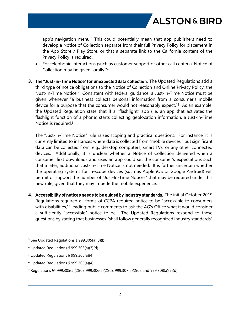app's navigation menu.<sup>3</sup> This could potentially mean that app publishers need to develop a Notice of Collection separate from their full Privacy Policy for placement in the App Store / Play Store, or that a separate link to the California content of the Privacy Policy is required.

- For telephonic interactions (such as customer support or other call centers), Notice of Collection may be given "orally."<sup>4</sup>
- **3. The "Just-in-Time Notice" for unexpected data collection.** The Updated Regulations add a third type of notice obligations to the Notice of Collection and Online Privacy Policy: the "Just-In-Time Notice." Consistent with federal guidance, a Just-In-Time Notice must be given whenever "a business collects personal information from a consumer's mobile device for a purpose that the consumer would not reasonably expect."<sup>5</sup> As an example, the Updated Regulation state that if a "flashlight" app (i.e. an app that activates the flashlight function of a phone) starts collecting geolocation information, a Just-In-Time Notice is required.<sup>6</sup>

The "Just-In-Time Notice" rule raises scoping and practical questions. For instance, it is currently limited to instances where data is collected from "mobile devices," but significant data can be collected from, e.g., desktop computers, smart TVs, or any other connected devices. Additionally, it is unclear whether a Notice of Collection delivered when a consumer first downloads and uses an app could set the consumer's expectations such that a later, additional Just-In-Time Notice is not needed. It is further uncertain whether the operating systems for in-scope devices (such as Apple iOS or Google Android) will permit or support the number of "Just-In-Time Notices" that may be required under this new rule, given that they may impede the mobile experience.

**4. Accessibility of notices needs to be guided by industry standards.** The initial October 2019 Regulations required all forms of CCPA-required notice to be "accessible to consumers with disabilities,"<sup>7</sup> leading public comments to ask the AG's Office what it would consider a sufficiently "accessible" notice to be. The Updated Regulations respond to these questions by stating that businesses "shall follow generally recognized industry standards"

<sup>3</sup> See Updated Regulations § 999.305(a)(3)(b).

<sup>4</sup> Updated Regulations § 999.305(a)(3)(d).

<sup>5</sup> Updated Regulations § 999.305(a)(4).

 $6$  Updated Regulations § 999.305(a)(4).

<sup>7</sup> Regulations §§ 999.305(a)(2)(d), 999.306(a)(2)(d), 999.307(a)(2(d), and 999.308(a)(2)(d).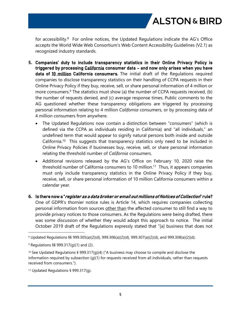for accessibility.<sup>8</sup> For online notices, the Updated Regulations indicate the AG's Office accepts the World Wide Web Consortium's Web Content Accessibility Guidelines (V2.1) as recognized industry standards.

- **5. Companies' duty to include transparency statistics in their Online Privacy Policy is triggered by processing California consumer data – and now only arises when you have data of 10 million California consumers.** The initial draft of the Regulations required companies to disclose transparency statistics on their handling of CCPA requests in their Online Privacy Policy if they buy, receive, sell, or share personal information of 4 million or more consumers.<sup>9</sup> The statistics must show (a) the number of CCPA requests received, (b) the number of requests denied, and (c) average response times. Public comments to the AG questioned whether these transparency obligations are triggered by processing personal information relating to 4 million *California* consumers, or by processing data of 4 million consumers from anywhere.
	- The Updated Regulations now contain a distinction between "consumers" (which is defined via the CCPA as individuals residing in California) and "all individuals," an undefined term that would appear to signify natural persons both inside and outside California.<sup>10</sup> This suggests that transparency statistics only need to be included in Online Privacy Policies if businesses buy, receive, sell, or share personal information relating the threshold number of *California* consumers.
	- Additional revisions released by the AG's Office on February 10, 2020 raise the threshold number of California consumers to 10 million.<sup>11</sup> Thus, it appears companies must only include transparency statistics in the Online Privacy Policy if they buy, receive, sell, or share personal information of 10 million California consumers within a calendar year.
- **6. Is there now a "***register as a data broker or email out millions of Notices of Collection***" rule?**  One of GDPR's thornier notice rules is Article 14, which requires companies collecting personal information from sources other than the affected consumer to still find a way to provide privacy notices to those consumers. As the Regulations were being drafted, there was some discussion of whether they would adopt this approach to notice. The initial October 2019 draft of the Regulations expressly stated that "[a] business that does not

<sup>8</sup> Updated Regulations §§ 999.305(a)(2)(d), 999.306(a)(2)(d), 999.307(a)(2)(d), and 999.308(a)(2)(d).

 $9$  Regulations §§ 999.317(q)(1) and (2).

<sup>&</sup>lt;sup>10</sup> See Updated Regulations § 999.317(g)(4) ("A business may choose to compile and disclose the information required by subsection (g)(1) for requests received from all individuals, rather than requests received from consumers.").

<sup>&</sup>lt;sup>11</sup> Updated Regulations § 999.317(g).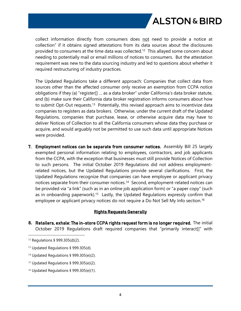collect information directly from consumers does not need to provide a notice at collection" if it obtains signed attestations from its data sources about the disclosures provided to consumers at the time data was collected.<sup>12</sup> This allayed some concern about needing to potentially mail or email millions of notices to consumers. But the attestation requirement was new to the data sourcing industry and led to questions about whether it required restructuring of industry practices.

The Updated Regulations take a different approach: Companies that collect data from sources other than the affected consumer only receive an exemption from CCPA notice obligations if they (a) "register[] … as a data broker" under California's data broker statute, and (b) make sure their California data broker registration informs consumers about how to submit Opt-Out requests.<sup>13</sup> Potentially, this revised approach aims to incentivize data companies to registers as data brokers. Otherwise, under the current draft of the Updated Regulations, companies that purchase, lease, or otherwise acquire data may have to deliver Notices of Collection to all the California consumers whose data they purchase or acquire, and would arguably not be permitted to use such data until appropriate Notices were provided.

**7. Employment notices can be separate from consumer notices.** Assembly Bill 25 largely exempted personal information relating to employees, contractors, and job applicants from the CCPA, with the exception that businesses must still provide Notices of Collection to such persons. The initial October 2019 Regulations did not address employmentrelated notices, but the Updated Regulations provide several clarifications. First, the Updated Regulations recognize that companies can have employee or applicant privacy notices separate from their consumer notices.<sup>14</sup> Second, employment-related notices can be provided via "a link" (such as in an online job application form) or "a paper copy" (such as in onboarding paperwork).<sup>15</sup> Lastly, the Updated Regulations expressly confirm that employee or applicant privacy notices do not require a Do Not Sell My Info section.<sup>16</sup>

#### **Rights Requests Generally**

**8. Retailers, exhale: The in-store CCPA rights request form is no longer required.** The initial October 2019 Regulations draft required companies that "primarily interact[]" with

<sup>14</sup> Updated Regulations § 999.305(e)(2).

<sup>16</sup> Updated Regulations § 999.305(e)(1).

<sup>12</sup> Regulations § 999.305(d)(2).

<sup>13</sup> Updated Regulations § 999.305(d).

<sup>15</sup> Updated Regulations § 999.305(e)(2).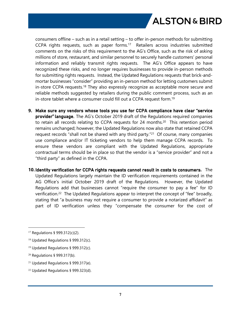consumers offline – such as in a retail setting – to offer in-person methods for submitting CCPA rights requests, such as paper forms.<sup>17</sup> Retailers across industries submitted comments on the risks of this requirement to the AG's Office, such as the risk of asking millions of store, restaurant, and similar personnel to securely handle customers' personal information and reliably transmit rights requests. The AG's Office appears to have recognized these risks, and no longer requires businesses to provide in-person methods for submitting rights requests. Instead, the Updated Regulations requests that brick-andmortar businesses "consider" providing an in-person method for letting customers submit in-store CCPA requests.<sup>18</sup> They also expressly recognize as acceptable more secure and reliable methods suggested by retailers during the public comment process, such as an in-store tablet where a consumer could fill out a CCPA request form.<sup>19</sup>

- **9. Make sure any vendors whose tools you use for CCPA compliance have clear "service provider" language.** The AG's October 2019 draft of the Regulations required companies to retain all records relating to CCPA requests for 24 months.<sup>20</sup> This retention period remains unchanged; however, the Updated Regulations now also state that retained CCPA request records "shall not be shared with any third party."<sup>21</sup> Of course, many companies use compliance and/or IT ticketing vendors to help them manage CCPA records. To ensure these vendors are compliant with the Updated Regulations, appropriate contractual terms should be in place so that the vendor is a "service provider" and not a "third party" as defined in the CCPA.
- **10. Identity verification for CCPA rights requests cannot result in costs to consumers.** The Updated Regulations largely maintain the ID verification requirements contained in the AG Office's initial October 2019 draft of the Regulations. However, the Updated Regulations add that businesses cannot "require the consumer to pay a fee" for ID verification.<sup>22</sup> The Updated Regulations appear to interpret the concept of "fee" broadly, stating that "a business may not require a consumer to provide a notarized affidavit" as part of ID verification unless they "compensate the consumer for the cost of

<sup>17</sup> Regulations § 999.312(c)(2).

<sup>18</sup> Updated Regulations § 999.312(c).

<sup>19</sup> Updated Regulations § 999.312(c).

<sup>20</sup> Regulations § 999.317(b).

<sup>21</sup> Updated Regulations § 999.317(e).

<sup>22</sup> Updated Regulations § 999.323(d).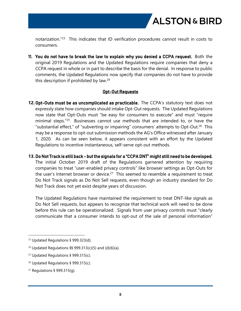notarization."<sup>23</sup> This indicates that ID verification procedures cannot result in costs to consumers.

**11. You do not have to break the law to explain why you denied a CCPA request.** Both the original 2019 Regulations and the Updated Regulations require companies that deny a CCPA request in whole or in part to describe the basis for the denial. In response to public comments, the Updated Regulations now specify that companies do not have to provide this description if prohibited by law.<sup>24</sup>

#### **Opt-Out Requests**

- **12.Opt-Outs must be as uncomplicated as practicable.** The CCPA's statutory text does not expressly state how companies should intake Opt-Out requests. The Updated Regulations now state that Opt-Outs must "be easy for consumers to execute" and must "require minimal steps."<sup>25</sup> Businesses cannot use methods that are intended to, or have the "substantial effect," of "subverting or impairing" consumers' attempts to Opt-Out.<sup>26</sup> This may be a response to opt-out submission methods the AG's Office witnessed after January 1, 2020. As can be seen below, it appears consistent with an effort by the Updated Regulations to incentive instantaneous, self-serve opt-out methods.
- **13.Do Not Track is still back but the signals for a "CCPA DNT" might still need to be developed.** The initial October 2019 draft of the Regulations garnered attention by requiring companies to treat "user-enabled privacy controls" like browser settings as Opt-Outs for the user's Internet browser or device.<sup>27</sup> This seemed to resemble a requirement to treat Do Not Track signals as Do Not Sell requests, even though an industry standard for Do Not Track does not yet exist despite years of discussion.

The Updated Regulations have maintained the requirement to treat DNT-like signals as Do Not Sell requests, but appears to recognize that technical work will need to be done before this rule can be operationalized. Signals from user privacy controls must "clearly communicate that a consumer intends to opt-out of the sale of personal information"

<sup>23</sup> Updated Regulations § 999.323(d).

<sup>&</sup>lt;sup>24</sup> Updated Regulations  $\S$ § 999.313(c)(5) and (d)(6)(a).

<sup>25</sup> Updated Regulations § 999.315(c).

<sup>26</sup> Updated Regulations § 999.315(c).

<sup>27</sup> Regulations § 999.315(g).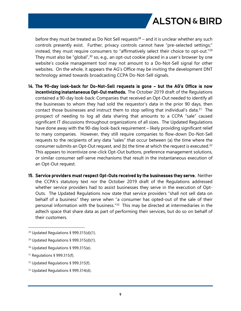before they must be treated as Do Not Sell requests<sup>28</sup> – and it is unclear whether any such controls presently exist. Further, privacy controls cannot have "pre-selected settings;" instead, they must require consumers to "affirmatively select their choice to opt-out."<sup>29</sup> They must also be "global", $30$  so, e.g., an opt-out cookie placed in a user's browser by one website's cookie management tool may not amount to a Do-Not-Sell signal for other websites. On the whole, it appears the AG's Office may be inviting the development DNT technology aimed towards broadcasting CCPA Do-Not-Sell signals.

- **14. The 90-day look-back for Do-Not-Sell requests is gone but the AG's Office is now incentivizing instantaneous Opt-Out methods.** The October 2019 draft of the Regulations contained a 90-day look-back: Companies that received an Opt-Out needed to identify all the businesses to whom they had sold the requestor's data in the prior 90 days, then contact those businesses and instruct them to stop selling that individual's data.<sup>31</sup> The prospect of needing to log all data sharing that amounts to a CCPA "sale" caused significant IT discussions throughout organizations of all sizes. The Updated Regulations have done away with the 90-day look-back requirement – likely providing significant relief to many companies. However, they still require companies to flow-down Do-Not-Sell requests to the recipients of any data "sales" that occur between (a) the time where the consumer submits an Opt-Out request, and (b) the time at which the request is executed.<sup>32</sup> This appears to incentivize one-click Opt-Out buttons, preference management solutions, or similar consumer self-serve mechanisms that result in the instantaneous execution of an Opt-Out request.
- **15. Service providers must respect Opt-Outs received by the businesses they serve.** Neither the CCPA's statutory text nor the October 2019 draft of the Regulations addressed whether service providers had to assist businesses they serve in the execution of Opt-Outs. The Updated Regulations now state that service providers "shall not sell data on behalf of a business" they serve when "a consumer has opted-out of the sale of their personal information with the business."<sup>33</sup> This may be directed at intermediaries in the adtech space that share data as part of performing their services, but do so on behalf of their customers.

<sup>28</sup> Updated Regulations § 999.315(d)(1).

<sup>&</sup>lt;sup>29</sup> Updated Regulations § 999.315(d)(1).

<sup>30</sup> Updated Regulations § 999.315(e).

<sup>31</sup> Regulations § 999.315(f).

<sup>32</sup> Updated Regulations § 999.315(f).

<sup>33</sup> Updated Regulations § 999.314(d).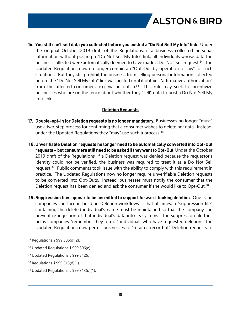

**16. You still can't sell data you collected before you posted a "Do Not Sell My Info" link**. Under the original October 2019 draft of the Regulations, if a business collected personal information without posting a "Do Not Sell My Info" link, all individuals whose data the business collected were automatically deemed to have made a Do-Not-Sell request.<sup>34</sup> The Updated Regulations now no longer contain an "Opt-Out-by-operation-of-law" for such situations. But they still prohibit the business from selling personal information collected before the "Do Not Sell My Info" link was posted until it obtains "affirmative authorization" from the affected consumers, e.g. via an opt-in. $35$  This rule may seek to incentivize businesses who are on the fence about whether they "sell" data to post a Do Not Sell My Info link.

#### **Deletion Requests**

- **17. Double-opt-in for Deletion requests is no longer mandatory.** Businesses no longer "must" use a two-step process for confirming that a consumer wishes to delete her data. Instead, under the Updated Regulations they "may" use such a process. $36$
- **18.Unverifiable Deletion requests no longer need to be automatically converted into Opt-Out requests – but consumers still need to be asked if they want to Opt-Out.** Under the October 2019 draft of the Regulations, if a Deletion request was denied because the requestor's identity could not be verified, the business was required to treat it as a Do Not Sell request.<sup>37</sup> Public comments took issue with the ability to comply with this requirement in practice. The Updated Regulations now no longer require unverifiable Deletion requests to be converted into Opt-Outs. Instead, businesses must notify the consumer that the Deletion request has been denied and ask the consumer if she would like to Opt-Out.<sup>38</sup>
- **19.Suppression files appear to be permitted to support forward-looking deletion.** One issue companies can face in building Deletion workflows is that at times, a "suppression file" containing the deleted individual's name must be maintained so that the company can prevent re-ingestion of that individual's data into its systems. The suppression file thus helps companies "remember they forgot" individuals who have requested deletion. The Updated Regulations now permit businesses to "retain a record of" Deletion requests to

<sup>36</sup> Updated Regulations § 999.312(d).

<sup>38</sup> Updated Regulations § 999.313(d)(1).

<sup>34</sup> Regulations § 999.306(d)(2).

<sup>35</sup> Updated Regulations § 999.306(e).

<sup>37</sup> Regulations § 999.313(d)(1).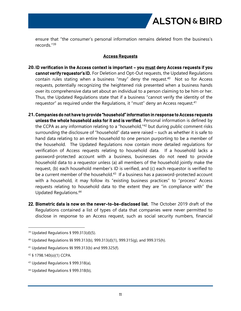ensure that "the consumer's personal information remains deleted from the business's records."<sup>39</sup>

#### **Access Requests**

- **20. ID verification in the Access context is important you must deny Access requests if you cannot verify requestor's ID.** For Deletion and Opt-Out requests, the Updated Regulations contain rules stating when a business "may" deny the request.<sup>40</sup> Not so for Access requests, potentially recognizing the heightened risk presented when a business hands over its comprehensive data set about an individual to a person claiming to be him or her. Thus, the Updated Regulations state that if a business "cannot verify the identity of the requestor" as required under the Regulations, it "must" deny an Access request.<sup>41</sup>
- **21.Companies do not have to provide "household" information in response to Access requests unless the whole household asks for it and is verified.** Personal information is defined by the CCPA as any information relating to a "household,"<sup>42</sup> but during public comment risks surrounding the disclosure of "household" data were raised – such as whether it is safe to hand data relating to an entire household to one person purporting to be a member of the household. The Updated Regulations now contain more detailed regulations for verification of Access requests relating to household data. If a household lacks a password-protected account with a business, businesses do not need to provide household data to a requestor unless (a) all members of the household jointly make the request, (b) each household member's ID is verified, and (c) each requestor is verified to be a current member of the household.<sup>43</sup> If a business has a password-protected account with a household, it may follow its "existing business practices" to "process" Access requests relating to household data to the extent they are "in compliance with" the Updated Regulations.<sup>44</sup>
- **22. Biometric data is now on the never-to-be-disclosed list.** The October 2019 draft of the Regulations contained a list of types of data that companies were never permitted to disclose in response to an Access request, such as social security numbers, financial

<sup>39</sup> Updated Regulations § 999.313(d)(5).

<sup>40</sup> Updated Regulations §§ 999.313(b), 999.313(d)(1), 999.315(g), and 999.315(h).

<sup>41</sup> Updated Regulations §§ 999.313(b) and 999.325(f).

<sup>42</sup> § 1798.140(o)(1) CCPA.

<sup>43</sup> Updated Regulations § 999.318(a),

<sup>44</sup> Updated Regulations § 999.318(b),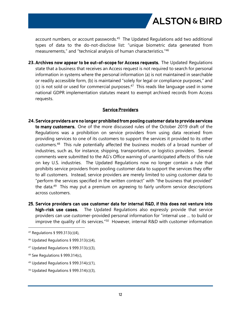

account numbers, or account passwords.<sup>45</sup> The Updated Regulations add two additional types of data to the do-not-disclose list: "unique biometric data generated from measurements," and "technical analysis of human characteristics."<sup>46</sup>

**23.Archives now appear to be out-of-scope for Access requests.** The Updated Regulations state that a business that receives an Access request is not required to search for personal information in systems where the personal information (a) is not maintained in searchable or readily accessible form, (b) is maintained "solely for legal or compliance purposes," and (c) is not sold or used for commercial purposes.<sup>47</sup> This reads like language used in some national GDPR implementation statutes meant to exempt archived records from Access requests.

#### **Service Providers**

- **24.Service providers are no longer prohibited from pooling customer data to provide services to many customers.** One of the more discussed rules of the October 2019 draft of the Regulations was a prohibition on service providers from using data received from providing services to one of its customers to support the services it provided to its other customers.<sup>48</sup> This rule potentially affected the business models of a broad number of industries, such as, for instance, shipping, transportation, or logistics providers. Several comments were submitted to the AG's Office warning of unanticipated affects of this rule on key U.S. industries. The Updated Regulations now no longer contain a rule that prohibits service providers from pooling customer data to support the services they offer to all customers. Instead, service providers are merely limited to using customer data to "perform the services specified in the written contract" with "the business that provided" the data.<sup>49</sup> This may put a premium on agreeing to fairly uniform service descriptions across customers.
- **25. Service providers can use customer data for internal R&D, if this does not venture into high-risk use cases.** The Updated Regulations also expressly provide that service providers can use customer-provided personal information for "internal use … to build or improve the quality of its services.<sup>"50</sup> However, internal R&D with customer information

- <sup>48</sup> See Regulations § 999.314(c),
- $49$  Updated Regulations § 999.314(c)(1),
- $50$  Updated Regulations § 999.314(c)(3),

<sup>45</sup> Regulations § 999.313(c)(4),

 $46$  Updated Regulations § 999.313(c)(4),

<sup>47</sup> Updated Regulations § 999.313(c)(3),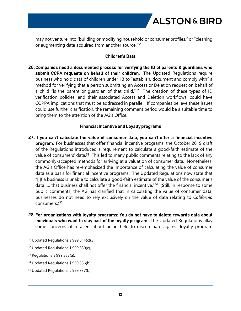

may not venture into "building or modifying household or consumer profiles," or "cleaning or augmenting data acquired from another source."<sup>51</sup>

#### **Children's Data**

**26.Companies need a documented process for verifying the ID of parents & guardians who submit CCPA requests on behalf of their children.** The Updated Regulations require business who hold data of children under 13 to "establish, document and comply with" a method for verifying that a person submitting an Access or Deletion request on behalf of a child "is the parent or quardian of that child."<sup>52</sup> The creation of these types of ID verification policies, and their associated Access and Deletion workflows, could have COPPA implications that must be addressed in parallel. If companies believe these issues could use further clarification, the remaining comment period would be a suitable time to bring them to the attention of the AG's Office.

#### **Financial Incentive and Loyalty programs**

- **27. If you can't calculate the value of consumer data, you can't offer a financial incentive program.** For businesses that offer financial incentive programs, the October 2019 draft of the Regulations introduced a requirement to calculate a good-faith estimate of the value of consumers' data.<sup>53</sup> This led to many public comments relating to the lack of any commonly-accepted methods for arriving at a valuation of consumer data. Nonetheless, the AG's Office has re-emphasized the importance of calculating the value of consumer data as a basis for financial incentive programs. The Updated Regulations now state that "[i]f a business is unable to calculate a good-faith estimate of the value of the consumer's data …, that business shall not offer the financial incentive."<sup>54</sup> (Still, in response to some public comments, the AG has clarified that in calculating the value of consumer data, businesses do not need to rely exclusively on the value of data relating to *California* consumers.)<sup>55</sup>
- **28. For organizations with loyalty programs: You do not have to delete rewards data about individuals who want to stay part of the loyalty program.** The Updated Regulations allay some concerns of retailers about being held to discriminate against loyalty program

 $51$  Updated Regulations § 999.314(c)(3),

<sup>52</sup> Updated Regulations § 999.330(c),

<sup>53</sup> Regulations § 999.337(a),

<sup>54</sup> Updated Regulations § 999.336(b),

<sup>55</sup> Updated Regulations § 999.337(b),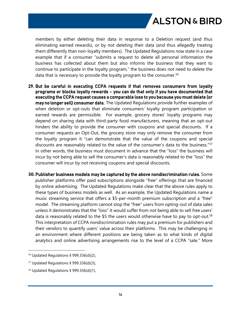members by either deleting their data in response to a Deletion request (and thus eliminating earned rewards), or by not deleting their data (and thus allegedly treating them differently than non-loyalty members). The Updated Regulations now state in a case example that if a consumer "submits a request to delete all personal information the business has collected about them but also informs the business that they want to continue to participate in the loyalty program," the business does not need to delete the data that is necessary to provide the loyalty program to the consumer.<sup>56</sup>

- **29. But be careful in executing CCPA requests if that removes consumers from loyalty programs or blocks loyalty rewards – you can do that only if you have documented that executing the CCPA request causes a comparable loss to you because you must delete (or may no longer sell) consumer data.** The Updated Regulations provide further examples of when deletion or opt-outs that eliminate consumers' loyalty program participation or earned rewards are permissible. For example, grocery stores' loyalty programs may depend on sharing data with third-party food manufacturers, meaning that an opt-out hinders the ability to provide the consumer with coupons and special discounts. If a consumer requests an Opt-Out, the grocery store may only remove the consumer from the loyalty program it "can demonstrate that the value of the coupons and special discounts are reasonably related to the value of the consumer's data to the business."<sup>57</sup> In other words, the business must document in advance that the "loss" the business will incur by not being able to sell the consumer's data is reasonably related to the "loss" the consumer will incur by not receiving coupons and special discounts.
- **30.Publisher business models may be captured by the above nondiscrimination rules.** Some publisher platforms offer paid subscriptions alongside "free" offerings that are financed by online advertising. The Updated Regulations make clear that the above rules apply to these types of business models as well. As an example, the Updated Regulations name a music streaming service that offers a \$5-per-month premium subscription and a "free" model. The streaming platform cannot stop the "free" users from opting-out of data sales unless it demonstrates that the "loss" it would suffer from not being able to sell free users' data is reasonably related to the \$5 the users would otherwise have to pay to opt-out.<sup>58</sup> This interpretation of CCPA nondiscrimination rules may put a premium for publishers and their vendors to quantify users' value across their platforms. This may be challenging in an environment where different positions are being taken as to what kinds of digital analytics and online advertising arrangements rise to the level of a CCPA "sale." More

<sup>56</sup> Updated Regulations § 999.336(d)(2),

 $57$  Updated Regulations § 999.336(d)(3),

 $58$  Updated Regulations § 999.336(d)(1),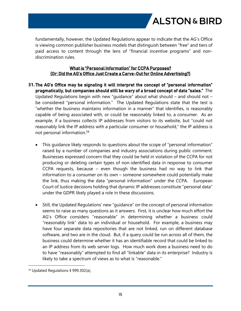

fundamentally, however, the Updated Regulations appear to indicate that the AG's Office is viewing common publisher business models that distinguish between "free" and tiers of paid access to content through the lens of "financial incentive programs" and nondiscrimination rules.

#### **What is "Personal Information" for CCPA Purposes? (Or: Did the AG's Office Just Create a Carve-Out for Online Advertising?)**

- **31. The AG's Office may be signaling it will interpret the concept of "personal information" pragmatically, but companies should still be wary of a broad concept of data "sales."** The Updated Regulations begin with new "guidance" about what should – and should not – be considered "personal information." The Updated Regulations state that the test is "whether the business maintains information in a manner" that identifies, is reasonably capable of being associated with, or could be reasonably linked to, a consumer. As an example, if a business collects IP addresses from visitors to its website, but "could not reasonably link the IP address with a particular consumer or household," the IP address is not personal information.<sup>59</sup>
	- This guidance likely responds to questions about the scope of "personal information" raised by a number of companies and industry associations during public comment. Businesses expressed concern that they could be held in violation of the CCPA for not producing or deleting certain types of non-identified data in response to consumer CCPA requests, because – even though the business had no way to link that information to a consumer on its own – someone somewhere could potentially make the link, thus making the data "personal information" under the CCPA. European Court of Justice decisions holding that dynamic IP addresses constitute "personal data" under the GDPR likely played a role in these discussions.
	- Still, the Updated Regulations' new "guidance" on the concept of personal information seems to raise as many questions as it answers. First, it is unclear how much effort the AG's Office considers "reasonable" in determining whether a business could "reasonably link" data to an individual or household. For example, a business may have four separate data repositories that are not linked, run on different database software, and two are in the cloud. But, if a query could be run across all of them, the business could determine whether it has an identifiable record that could be linked to an IP address from its web server logs. How much work does a business need to do to have "reasonably" attempted to find all "linkable" data in its enterprise? Industry is likely to take a spectrum of views as to what is "reasonable."

<sup>59</sup> Updated Regulations § 999.302(a),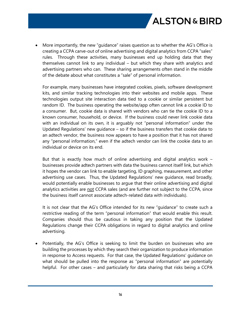

 More importantly, the new "guidance" raises question as to whether the AG's Office is creating a CCPA carve-out of online advertising and digital analytics from CCPA "sales" rules. Through these activities, many businesses end up holding data that they themselves cannot link to any individual – but which they share with analytics and advertising partners who can. These sharing arrangements often stand in the middle of the debate about what constitutes a "sale" of personal information.

For example, many businesses have integrated cookies, pixels, software development kits, and similar tracking technologies into their websites and mobile apps. These technologies output site interaction data tied to a cookie or similar persistent but random ID. The business operating the website/app often cannot link a cookie ID to a consumer. But, cookie data is shared with vendors who can tie the cookie ID to a known consumer, household, or device. If the business could never link cookie data with an individual on its own, it is arguably not "personal information" under the Updated Regulations' new guidance – so if the business transfers that cookie data to an adtech vendor, the business now appears to have a position that it has not shared any "personal information," even if the adtech vendor can link the cookie data to an individual or device on its end.

But that is exactly how much of online advertising and digital analytics work – businesses provide adtech partners with data the business cannot itself link, but which it hopes the vendor can link to enable targeting, ID graphing, measurement, and other advertising use cases. Thus, the Updated Regulations' new guidance, read broadly, would potentially enable businesses to argue that their online advertising and digital analytics activities are not CCPA sales (and are further not subject to the CCPA, since the business itself cannot associate adtech-related data with individuals).

It is not clear that the AG's Office intended for its new "guidance" to create such a restrictive reading of the term "personal information" that would enable this result. Companies should thus be cautious in taking any position that the Updated Regulations change their CCPA obligations in regard to digital analytics and online advertising.

 Potentially, the AG's Office is seeking to limit the burden on businesses who are building the processes by which they search their organization to produce information in response to Access requests. For that case, the Updated Regulations' guidance on what should be pulled into the response as "personal information" are potentially helpful. For other cases – and particularly for data sharing that risks being a CCPA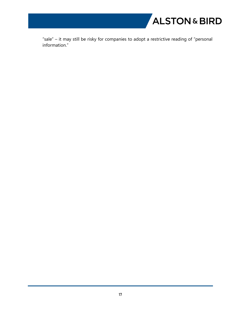

"sale" – it may still be risky for companies to adopt a restrictive reading of "personal information."